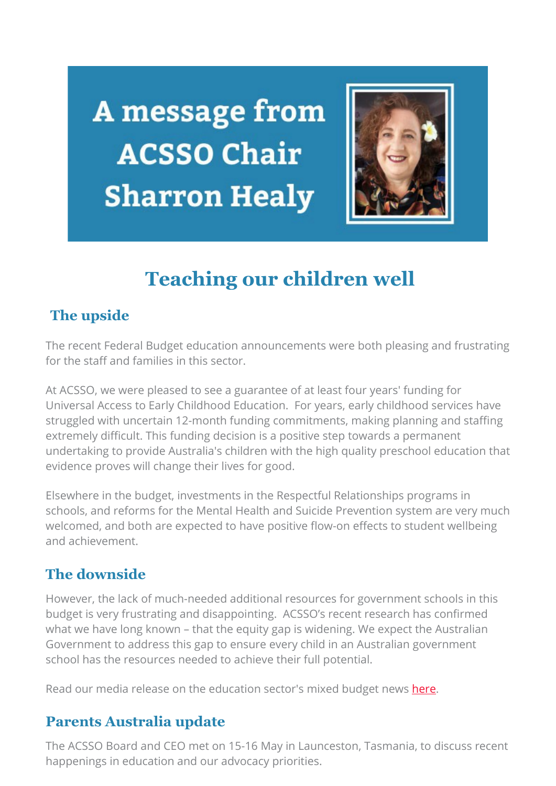A message from **ACSSO Chair Sharron Healy** 



# **Teaching our children well**

## **The upside**

The recent Federal Budget education announcements were both pleasing and frustrating for the staff and families in this sector.

At ACSSO, we were pleased to see a guarantee of at least four years' funding for Universal Access to Early Childhood Education. For years, early childhood services have struggled with uncertain 12-month funding commitments, making planning and staffing extremely difficult. This funding decision is a positive step towards a permanent undertaking to provide Australia's children with the high quality preschool education that evidence proves will change their lives for good.

Elsewhere in the budget, investments in the Respectful Relationships programs in schools, and reforms for the Mental Health and Suicide Prevention system are very much welcomed, and both are expected to have positive flow-on effects to student wellbeing and achievement.

## **The downside**

However, the lack of much-needed additional resources for government schools in this budget is very frustrating and disappointing. ACSSO's recent research has confirmed what we have long known – that the equity gap is widening. We expect the Australian Government to address this gap to ensure every child in an Australian government school has the resources needed to achieve their full potential.

Read our media release on the education sector's mixed budget news [here.](https://acsso.createsend1.com/t/i-l-muyutit-l-n/)

## **Parents Australia update**

The ACSSO Board and CEO met on 15-16 May in Launceston, Tasmania, to discuss recent happenings in education and our advocacy priorities.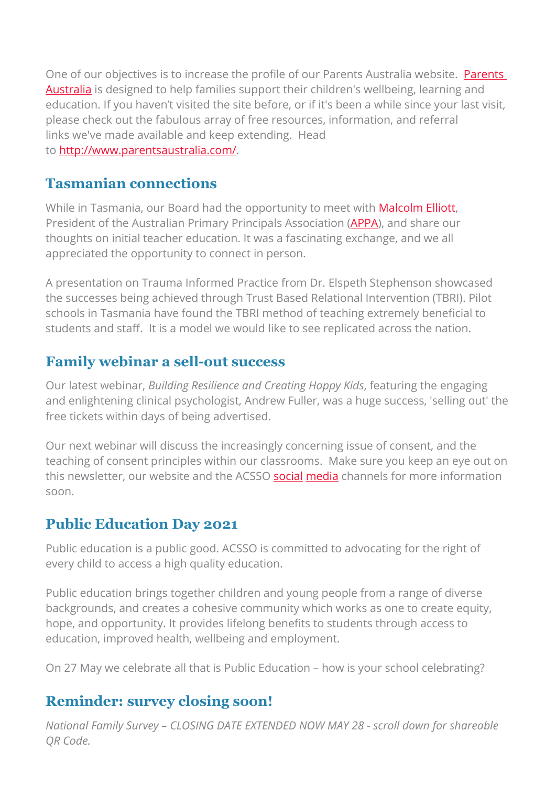One of our objectives is to increase the profile of our [Parents](https://acsso.createsend1.com/t/i-l-muyutit-l-p/) Australia website. **Parents** [Australia](https://acsso.createsend1.com/t/i-l-muyutit-l-p/) is designed to help families support their children's wellbeing, learning and education. If you haven't visited the site before, or if it's been a while since your last visit, please check out the fabulous array of free resources, information, and referral links we've made available and keep extending. Head to [http://www.parentsaustralia.com/.](https://acsso.createsend1.com/t/i-l-muyutit-l-x/)

#### **Tasmanian connections**

While in Tasmania, our Board had the opportunity to meet with **Malcolm Elliott**, President of the Australian Primary Principals Association (**APPA**), and share our thoughts on initial teacher education. It was a fascinating exchange, and we all appreciated the opportunity to connect in person.

A presentation on Trauma Informed Practice from Dr. Elspeth Stephenson showcased the successes being achieved through Trust Based Relational Intervention (TBRI). Pilot schools in Tasmania have found the TBRI method of teaching extremely beneficial to students and staff. It is a model we would like to see replicated across the nation.

# **Family webinar a sell-out success**

Our latest webinar, *Building Resilience and Creating Happy Kids*, featuring the engaging and enlightening clinical psychologist, Andrew Fuller, was a huge success, 'selling out' the free tickets within days of being advertised.

Our next webinar will discuss the increasingly concerning issue of consent, and the teaching of consent principles within our classrooms. Make sure you keep an eye out on this newsletter, our website and the ACSSO [social](https://acsso.createsend1.com/t/i-l-muyutit-l-q/) [media](https://acsso.createsend1.com/t/i-l-muyutit-l-a/) channels for more information soon.

# **Public Education Day 2021**

Public education is a public good. ACSSO is committed to advocating for the right of every child to access a high quality education.

Public education brings together children and young people from a range of diverse backgrounds, and creates a cohesive community which works as one to create equity, hope, and opportunity. It provides lifelong benefits to students through access to education, improved health, wellbeing and employment.

On 27 May we celebrate all that is Public Education – how is your school celebrating?

## **Reminder: survey closing soon!**

*National Family Survey – CLOSING DATE EXTENDED NOW MAY 28 - scroll down for shareable QR Code.*